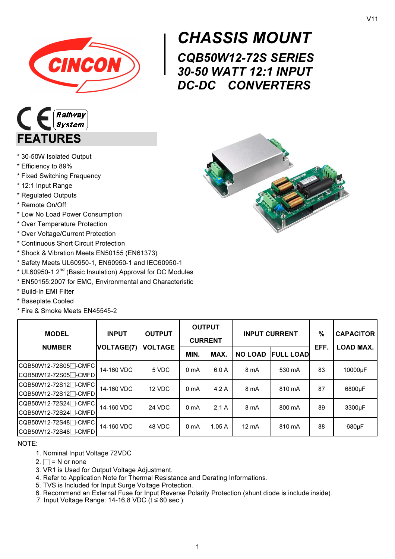

## $\begin{array}{r} \n\text{CH} \\ \n\text{CQE} \\ \n\text{30-5} \\ \n\text{DC-1} \n\end{array}$ CHASSIS MOUNT CQB50W12-72S SERIES 30-50 WATT 12:1 INPUT DC-DC CONVERTERS



- \* 30-50W Isolated Output
- \* Efficiency to 89%
- \* Fixed Switching Frequency
- \* 12:1 Input Range
- \* Regulated Outputs
- \* Remote On/Off
- \* Low No Load Power Consumption
- \* Over Temperature Protection
- \* Over Voltage/Current Protection
- \* Continuous Short Circuit Protection
- \* Shock & Vibration Meets EN50155 (EN61373)
- \* Safety Meets UL60950-1, EN60950-1 and IEC60950-1
- \* UL60950-1 2nd (Basic Insulation) Approval for DC Modules
- \* EN50155:2007 for EMC, Environmental and Characteristic
- \* Build-In EMI Filter
- \* Baseplate Cooled
- \* Fire & Smoke Meets EN45545-2

| <b>INPUT</b><br><b>MODEL</b>                                         |                   | <b>OUTPUT</b>  | <b>OUTPUT</b><br><b>CURRENT</b> |       | <b>INPUT CURRENT</b> |                  | $\%$ | <b>CAPACITOR</b><br><b>LOAD MAX.</b> |
|----------------------------------------------------------------------|-------------------|----------------|---------------------------------|-------|----------------------|------------------|------|--------------------------------------|
| <b>NUMBER</b>                                                        | <b>VOLTAGE(7)</b> | <b>VOLTAGE</b> | MIN.                            | MAX.  | <b>NO LOAD</b>       | <b>FULL LOAD</b> | EFF. |                                      |
| CQB50W12-72S05 <sup>-</sup> CMFC                                     | 14-160 VDC        | 5 VDC          | 0 <sub>mA</sub>                 | 6.0 A | 8 mA                 | 530 mA           | 83   | 10000µF                              |
| CQB50W12-72S12 <sup>-</sup> CMFC<br>CQB50W12-72S12 <sup>-</sup> CMFD | 14-160 VDC        | 12 VDC         | 0 <sub>mA</sub>                 | 4.2A  | 8 mA                 | 810 mA           | 87   | 6800µF                               |
| CQB50W12-72S24 <sup>-</sup> CMFC<br> CQB50W12-72S24⊟-CMFD            | 14-160 VDC        | <b>24 VDC</b>  | 0 <sub>m</sub> A                | 2.1A  | 8 mA                 | 800 mA           | 89   | 3300 <sub>u</sub> F                  |
| CQB50W12-72S48 <sup>-</sup> CMFC<br>CQB50W12-72S48 <sup>-</sup> CMFD | 14-160 VDC        | 48 VDC         | 0 <sub>m</sub> A                | 1.05A | $12 \text{ mA}$      | 810 mA           | 88   | 680µF                                |

NOTE:

- 1. Nominal Input Voltage 72VDC
- $2. \Box = N$  or none
- 3. VR1 is Used for Output Voltage Adjustment.
- 4. Refer to Application Note for Thermal Resistance and Derating Informations.
- 5. TVS is Included for Input Surge Voltage Protection.
- 6. Recommend an External Fuse for Input Reverse Polarity Protection (shunt diode is include inside).
- 7. Input Voltage Range:  $14-16.8$  VDC ( $t ≤ 60$  sec.)